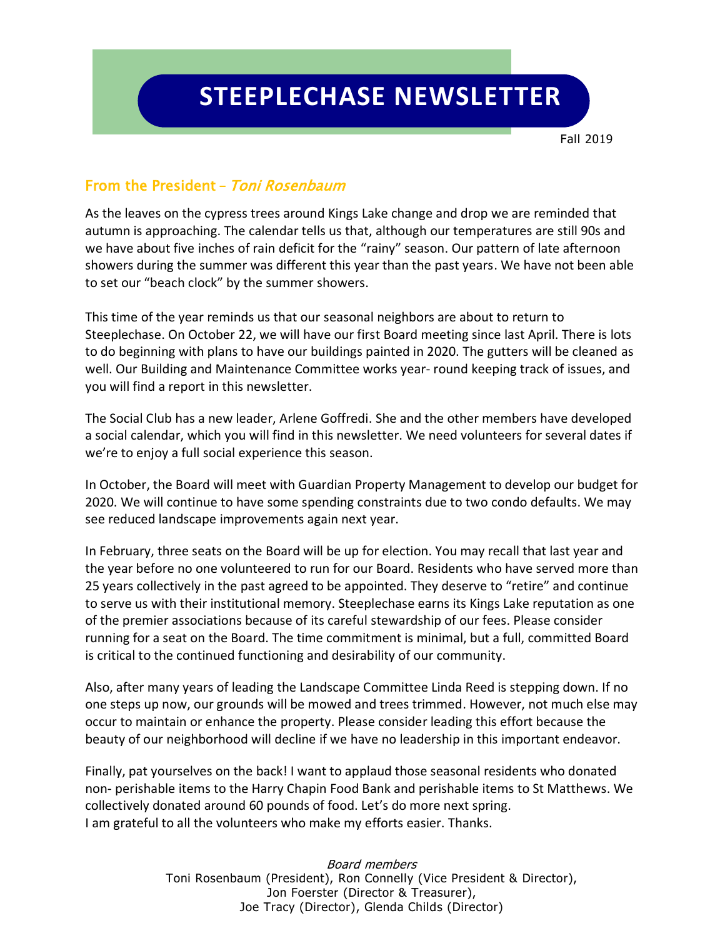Fall 2019

## From the President **–** Toni Rosenbaum

As the leaves on the cypress trees around Kings Lake change and drop we are reminded that autumn is approaching. The calendar tells us that, although our temperatures are still 90s and we have about five inches of rain deficit for the "rainy" season. Our pattern of late afternoon showers during the summer was different this year than the past years. We have not been able to set our "beach clock" by the summer showers.

This time of the year reminds us that our seasonal neighbors are about to return to Steeplechase. On October 22, we will have our first Board meeting since last April. There is lots to do beginning with plans to have our buildings painted in 2020. The gutters will be cleaned as well. Our Building and Maintenance Committee works year- round keeping track of issues, and you will find a report in this newsletter.

The Social Club has a new leader, Arlene Goffredi. She and the other members have developed a social calendar, which you will find in this newsletter. We need volunteers for several dates if we're to enjoy a full social experience this season.

In October, the Board will meet with Guardian Property Management to develop our budget for 2020. We will continue to have some spending constraints due to two condo defaults. We may see reduced landscape improvements again next year.

In February, three seats on the Board will be up for election. You may recall that last year and the year before no one volunteered to run for our Board. Residents who have served more than 25 years collectively in the past agreed to be appointed. They deserve to "retire" and continue to serve us with their institutional memory. Steeplechase earns its Kings Lake reputation as one of the premier associations because of its careful stewardship of our fees. Please consider running for a seat on the Board. The time commitment is minimal, but a full, committed Board is critical to the continued functioning and desirability of our community.

Also, after many years of leading the Landscape Committee Linda Reed is stepping down. If no one steps up now, our grounds will be mowed and trees trimmed. However, not much else may occur to maintain or enhance the property. Please consider leading this effort because the beauty of our neighborhood will decline if we have no leadership in this important endeavor.

Finally, pat yourselves on the back! I want to applaud those seasonal residents who donated non- perishable items to the Harry Chapin Food Bank and perishable items to St Matthews. We collectively donated around 60 pounds of food. Let's do more next spring. I am grateful to all the volunteers who make my efforts easier. Thanks.

> Board members Toni Rosenbaum (President), Ron Connelly (Vice President & Director), Jon Foerster (Director & Treasurer), Joe Tracy (Director), Glenda Childs (Director)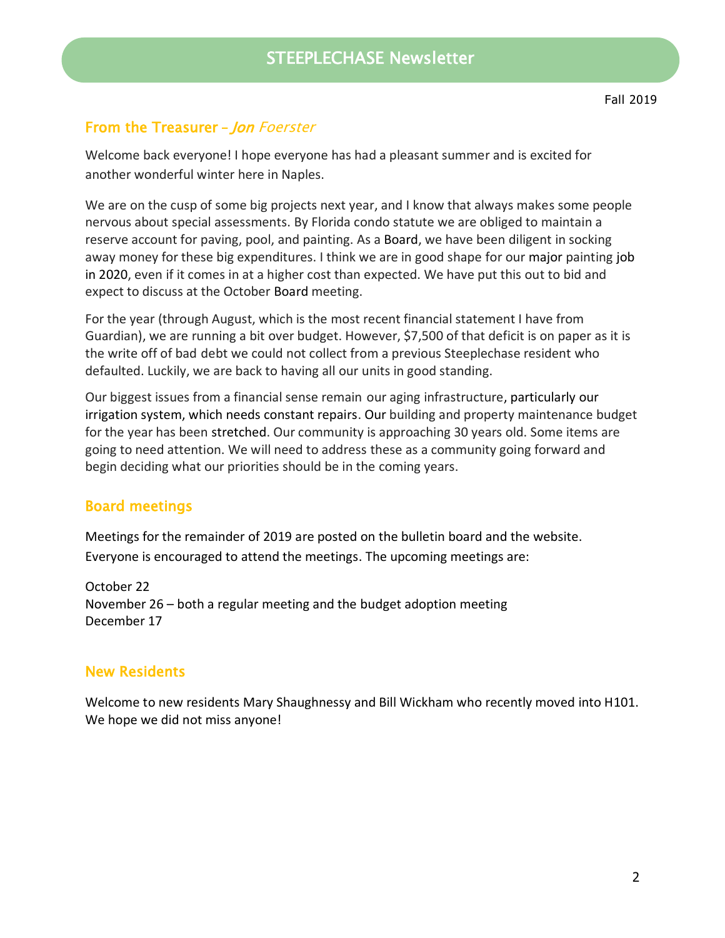# From the Treasurer **–** Jon Foerster

Welcome back everyone! I hope everyone has had a pleasant summer and is excited for another wonderful winter here in Naples.

We are on the cusp of some big projects next year, and I know that always makes some people nervous about special assessments. By Florida condo statute we are obliged to maintain a reserve account for paving, pool, and painting. As a Board, we have been diligent in socking away money for these big expenditures. I think we are in good shape for our major painting job in 2020, even if it comes in at a higher cost than expected. We have put this out to bid and expect to discuss at the October Board meeting.

For the year (through August, which is the most recent financial statement I have from Guardian), we are running a bit over budget. However, \$7,500 of that deficit is on paper as it is the write off of bad debt we could not collect from a previous Steeplechase resident who defaulted. Luckily, we are back to having all our units in good standing.

Our biggest issues from a financial sense remain our aging infrastructure, particularly our irrigation system, which needs constant repairs. Our building and property maintenance budget for the year has been stretched. Our community is approaching 30 years old. Some items are going to need attention. We will need to address these as a community going forward and begin deciding what our priorities should be in the coming years.

## Board meetings

Meetings for the remainder of 2019 are posted on the bulletin board and the website. Everyone is encouraged to attend the meetings. The upcoming meetings are:

October 22 November 26 – both a regular meeting and the budget adoption meeting December 17

## New Residents

Welcome to new residents Mary Shaughnessy and Bill Wickham who recently moved into H101. We hope we did not miss anyone!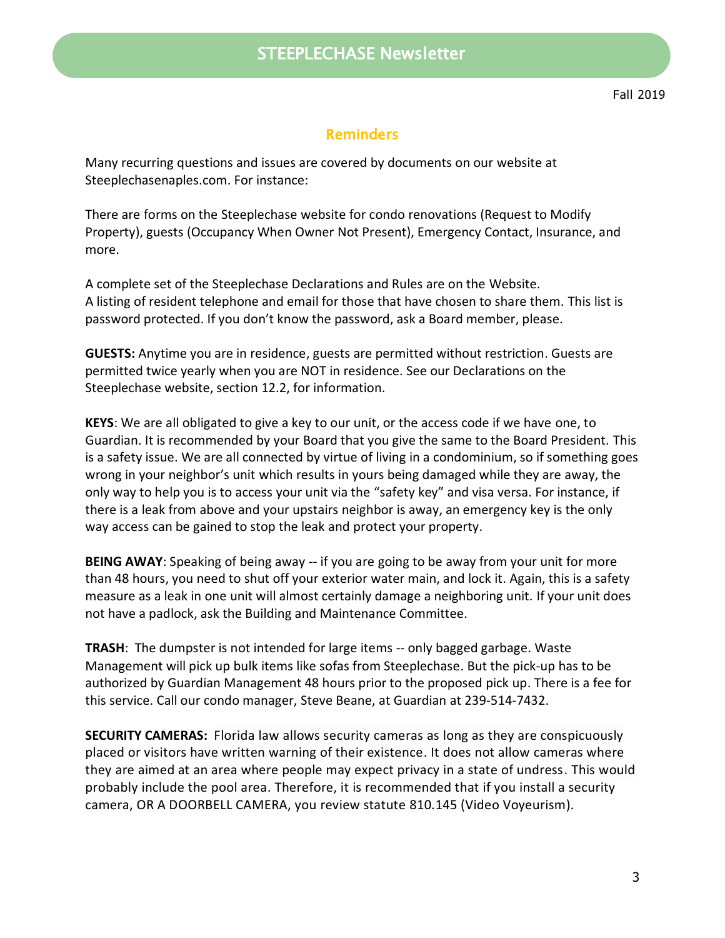# STEEPLECHASE Newsletter

## **Reminders**

Many recurring questions and issues are covered by documents on our website at Steeplechasenaples.com. For instance:

There are forms on the Steeplechase website for condo renovations (Request to Modify Property), guests (Occupancy When Owner Not Present), Emergency Contact, Insurance, and more.

A complete set of the Steeplechase Declarations and Rules are on the Website. A listing of resident telephone and email for those that have chosen to share them. This list is password protected. If you don't know the password, ask a Board member, please.

**GUESTS:** Anytime you are in residence, guests are permitted without restriction. Guests are permitted twice yearly when you are NOT in residence. See our Declarations on the Steeplechase website, section 12.2, for information.

**KEYS**: We are all obligated to give a key to our unit, or the access code if we have one, to Guardian. It is recommended by your Board that you give the same to the Board President. This is a safety issue. We are all connected by virtue of living in a condominium, so if something goes wrong in your neighbor's unit which results in yours being damaged while they are away, the only way to help you is to access your unit via the "safety key" and visa versa. For instance, if there is a leak from above and your upstairs neighbor is away, an emergency key is the only way access can be gained to stop the leak and protect your property.

**BEING AWAY**: Speaking of being away -- if you are going to be away from your unit for more than 48 hours, you need to shut off your exterior water main, and lock it. Again, this is a safety measure as a leak in one unit will almost certainly damage a neighboring unit. If your unit does not have a padlock, ask the Building and Maintenance Committee.

**TRASH**: The dumpster is not intended for large items -- only bagged garbage. Waste Management will pick up bulk items like sofas from Steeplechase. But the pick-up has to be authorized by Guardian Management 48 hours prior to the proposed pick up. There is a fee for this service. Call our condo manager, Steve Beane, at Guardian at 239-514-7432.

**SECURITY CAMERAS:** Florida law allows security cameras as long as they are conspicuously placed or visitors have written warning of their existence. It does not allow cameras where they are aimed at an area where people may expect privacy in a state of undress. This would probably include the pool area. Therefore, it is recommended that if you install a security camera, OR A DOORBELL CAMERA, you review statute 810.145 (Video Voyeurism).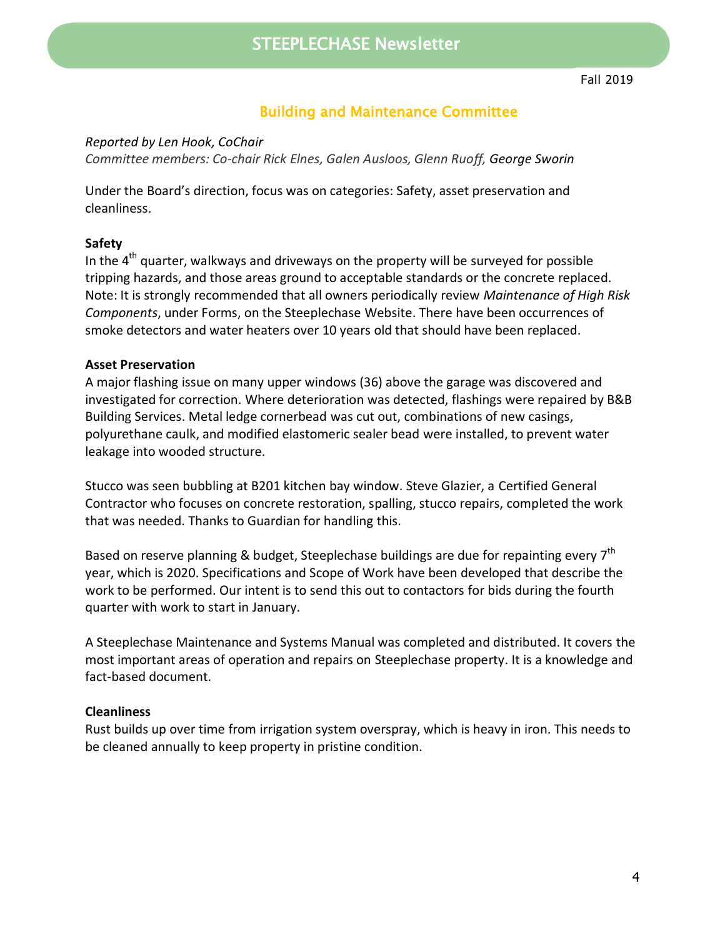## Building and Maintenance Committee

*Reported by Len Hook, CoChair*

*Committee members: Co-chair Rick Elnes, Galen Ausloos, Glenn Ruoff, George Sworin*

Under the Board's direction, focus was on categories: Safety, asset preservation and cleanliness.

#### **Safety**

In the  $4<sup>th</sup>$  quarter, walkways and driveways on the property will be surveyed for possible tripping hazards, and those areas ground to acceptable standards or the concrete replaced. Note: It is strongly recommended that all owners periodically review *Maintenance of High Risk Components*, under Forms, on the Steeplechase Website. There have been occurrences of smoke detectors and water heaters over 10 years old that should have been replaced.

#### **Asset Preservation**

A major flashing issue on many upper windows (36) above the garage was discovered and investigated for correction. Where deterioration was detected, flashings were repaired by B&B Building Services. Metal ledge cornerbead was cut out, combinations of new casings, polyurethane caulk, and modified elastomeric sealer bead were installed, to prevent water leakage into wooded structure.

Stucco was seen bubbling at B201 kitchen bay window. Steve Glazier, a Certified General Contractor who focuses on concrete restoration, spalling, stucco repairs, completed the work that was needed. Thanks to Guardian for handling this.

Based on reserve planning & budget, Steeplechase buildings are due for repainting every 7<sup>th</sup> year, which is 2020. Specifications and Scope of Work have been developed that describe the work to be performed. Our intent is to send this out to contactors for bids during the fourth quarter with work to start in January.

A Steeplechase Maintenance and Systems Manual was completed and distributed. It covers the most important areas of operation and repairs on Steeplechase property. It is a knowledge and fact-based document.

#### **Cleanliness**

Rust builds up over time from irrigation system overspray, which is heavy in iron. This needs to be cleaned annually to keep property in pristine condition.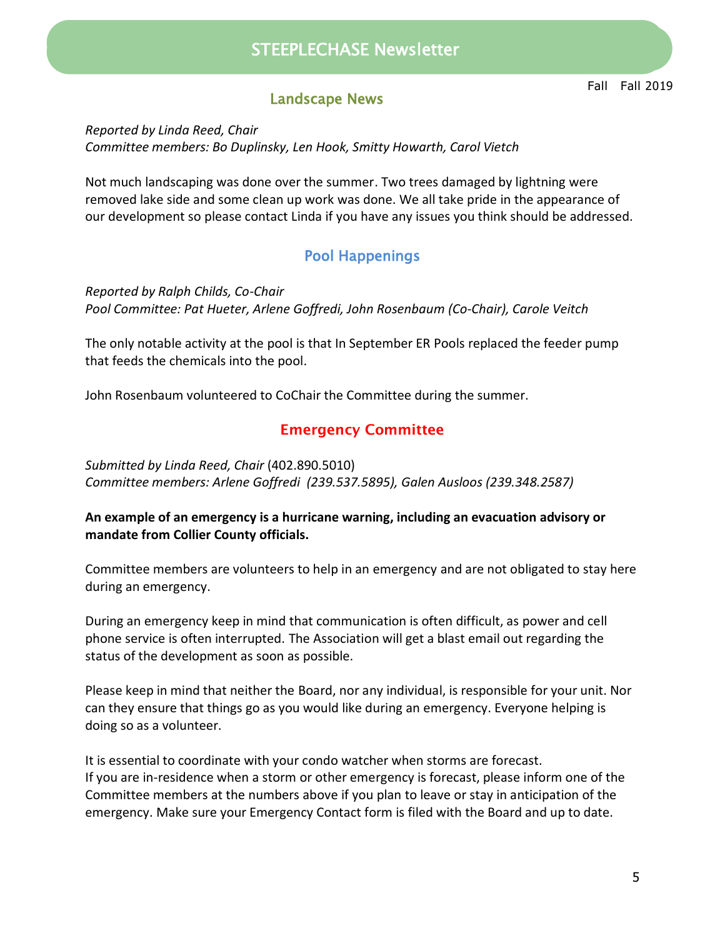# STEEPLECHASE Newsletter STEEPLECHASE Newsletter

## Landscape News

*Reported by Linda Reed, Chair Committee members: Bo Duplinsky, Len Hook, Smitty Howarth, Carol Vietch*

Not much landscaping was done over the summer. Two trees damaged by lightning were removed lake side and some clean up work was done. We all take pride in the appearance of our development so please contact Linda if you have any issues you think should be addressed.

## Pool Happenings

*Reported by Ralph Childs, Co-Chair Pool Committee: Pat Hueter, Arlene Goffredi, John Rosenbaum (Co-Chair), Carole Veitch* 

The only notable activity at the pool is that In September ER Pools replaced the feeder pump that feeds the chemicals into the pool.

John Rosenbaum volunteered to CoChair the Committee during the summer.

## **Emergency Committee**

*Submitted by Linda Reed, Chair* (402.890.5010) *Committee members: Arlene Goffredi (239.537.5895), Galen Ausloos (239.348.2587)*

#### **An example of an emergency is a hurricane warning, including an evacuation advisory or mandate from Collier County officials.**

Committee members are volunteers to help in an emergency and are not obligated to stay here during an emergency.

During an emergency keep in mind that communication is often difficult, as power and cell phone service is often interrupted. The Association will get a blast email out regarding the status of the development as soon as possible.

Please keep in mind that neither the Board, nor any individual, is responsible for your unit. Nor can they ensure that things go as you would like during an emergency. Everyone helping is doing so as a volunteer.

It is essential to coordinate with your condo watcher when storms are forecast. If you are in-residence when a storm or other emergency is forecast, please inform one of the Committee members at the numbers above if you plan to leave or stay in anticipation of the emergency. Make sure your Emergency Contact form is filed with the Board and up to date.